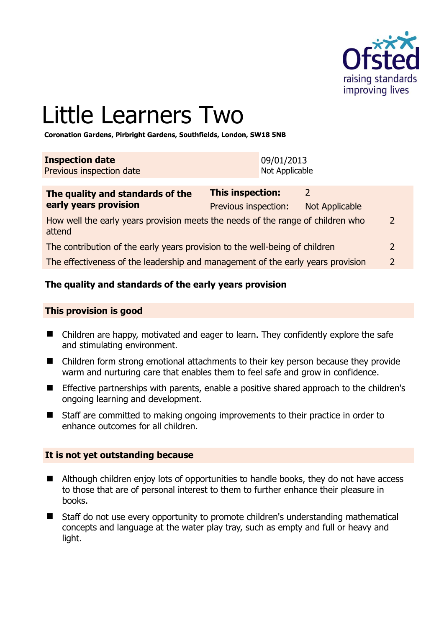

# Little Learners Two

**Coronation Gardens, Pirbright Gardens, Southfields, London, SW18 5NB** 

| <b>Inspection date</b>   | 09/01/2013     |
|--------------------------|----------------|
| Previous inspection date | Not Applicable |

| The quality and standards of the                                                          | <b>This inspection:</b> |                |                |
|-------------------------------------------------------------------------------------------|-------------------------|----------------|----------------|
| early years provision                                                                     | Previous inspection:    | Not Applicable |                |
| How well the early years provision meets the needs of the range of children who<br>attend |                         |                | 2              |
| The contribution of the early years provision to the well-being of children               |                         |                | $\overline{2}$ |
| The effectiveness of the leadership and management of the early years provision           |                         |                | $\mathcal{D}$  |

# **The quality and standards of the early years provision**

## **This provision is good**

- Children are happy, motivated and eager to learn. They confidently explore the safe and stimulating environment.
- Children form strong emotional attachments to their key person because they provide warm and nurturing care that enables them to feel safe and grow in confidence.
- **E** Effective partnerships with parents, enable a positive shared approach to the children's ongoing learning and development.
- Staff are committed to making ongoing improvements to their practice in order to enhance outcomes for all children.

## **It is not yet outstanding because**

- Although children enjoy lots of opportunities to handle books, they do not have access to those that are of personal interest to them to further enhance their pleasure in books.
- Staff do not use every opportunity to promote children's understanding mathematical concepts and language at the water play tray, such as empty and full or heavy and light.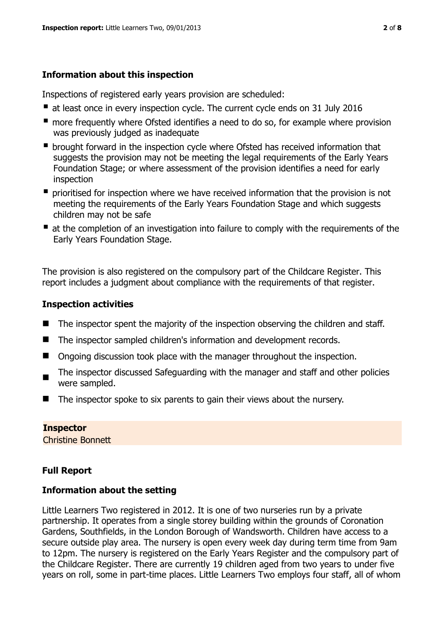# **Information about this inspection**

Inspections of registered early years provision are scheduled:

- at least once in every inspection cycle. The current cycle ends on 31 July 2016
- **n** more frequently where Ofsted identifies a need to do so, for example where provision was previously judged as inadequate
- **•** brought forward in the inspection cycle where Ofsted has received information that suggests the provision may not be meeting the legal requirements of the Early Years Foundation Stage; or where assessment of the provision identifies a need for early inspection
- **P** prioritised for inspection where we have received information that the provision is not meeting the requirements of the Early Years Foundation Stage and which suggests children may not be safe
- at the completion of an investigation into failure to comply with the requirements of the Early Years Foundation Stage.

The provision is also registered on the compulsory part of the Childcare Register. This report includes a judgment about compliance with the requirements of that register.

# **Inspection activities**

- The inspector spent the majority of the inspection observing the children and staff.
- The inspector sampled children's information and development records.
- Ongoing discussion took place with the manager throughout the inspection.
- The inspector discussed Safeguarding with the manager and staff and other policies were sampled.
- The inspector spoke to six parents to gain their views about the nursery.

# **Inspector**

Christine Bonnett

# **Full Report**

# **Information about the setting**

Little Learners Two registered in 2012. It is one of two nurseries run by a private partnership. It operates from a single storey building within the grounds of Coronation Gardens, Southfields, in the London Borough of Wandsworth. Children have access to a secure outside play area. The nursery is open every week day during term time from 9am to 12pm. The nursery is registered on the Early Years Register and the compulsory part of the Childcare Register. There are currently 19 children aged from two years to under five years on roll, some in part-time places. Little Learners Two employs four staff, all of whom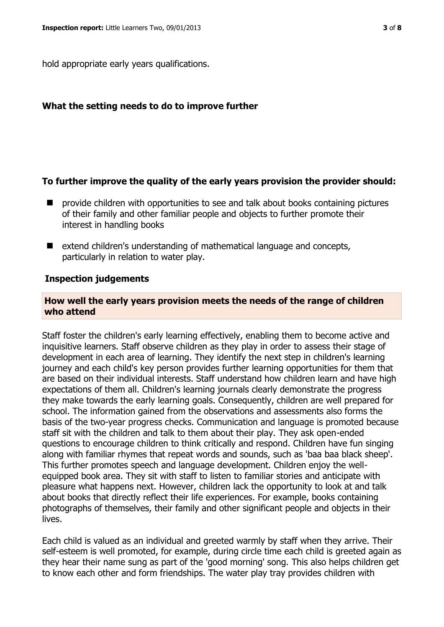hold appropriate early years qualifications.

#### **What the setting needs to do to improve further**

#### **To further improve the quality of the early years provision the provider should:**

- provide children with opportunities to see and talk about books containing pictures of their family and other familiar people and objects to further promote their interest in handling books
- $\blacksquare$  extend children's understanding of mathematical language and concepts, particularly in relation to water play.

#### **Inspection judgements**

## **How well the early years provision meets the needs of the range of children who attend**

Staff foster the children's early learning effectively, enabling them to become active and inquisitive learners. Staff observe children as they play in order to assess their stage of development in each area of learning. They identify the next step in children's learning journey and each child's key person provides further learning opportunities for them that are based on their individual interests. Staff understand how children learn and have high expectations of them all. Children's learning journals clearly demonstrate the progress they make towards the early learning goals. Consequently, children are well prepared for school. The information gained from the observations and assessments also forms the basis of the two-year progress checks. Communication and language is promoted because staff sit with the children and talk to them about their play. They ask open-ended questions to encourage children to think critically and respond. Children have fun singing along with familiar rhymes that repeat words and sounds, such as 'baa baa black sheep'. This further promotes speech and language development. Children enjoy the wellequipped book area. They sit with staff to listen to familiar stories and anticipate with pleasure what happens next. However, children lack the opportunity to look at and talk about books that directly reflect their life experiences. For example, books containing photographs of themselves, their family and other significant people and objects in their lives.

Each child is valued as an individual and greeted warmly by staff when they arrive. Their self-esteem is well promoted, for example, during circle time each child is greeted again as they hear their name sung as part of the 'good morning' song. This also helps children get to know each other and form friendships. The water play tray provides children with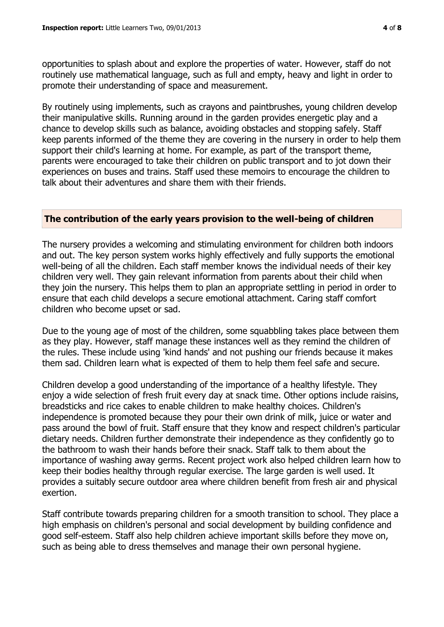opportunities to splash about and explore the properties of water. However, staff do not routinely use mathematical language, such as full and empty, heavy and light in order to promote their understanding of space and measurement.

By routinely using implements, such as crayons and paintbrushes, young children develop their manipulative skills. Running around in the garden provides energetic play and a chance to develop skills such as balance, avoiding obstacles and stopping safely. Staff keep parents informed of the theme they are covering in the nursery in order to help them support their child's learning at home. For example, as part of the transport theme, parents were encouraged to take their children on public transport and to jot down their experiences on buses and trains. Staff used these memoirs to encourage the children to talk about their adventures and share them with their friends.

## **The contribution of the early years provision to the well-being of children**

The nursery provides a welcoming and stimulating environment for children both indoors and out. The key person system works highly effectively and fully supports the emotional well-being of all the children. Each staff member knows the individual needs of their key children very well. They gain relevant information from parents about their child when they join the nursery. This helps them to plan an appropriate settling in period in order to ensure that each child develops a secure emotional attachment. Caring staff comfort children who become upset or sad.

Due to the young age of most of the children, some squabbling takes place between them as they play. However, staff manage these instances well as they remind the children of the rules. These include using 'kind hands' and not pushing our friends because it makes them sad. Children learn what is expected of them to help them feel safe and secure.

Children develop a good understanding of the importance of a healthy lifestyle. They enjoy a wide selection of fresh fruit every day at snack time. Other options include raisins, breadsticks and rice cakes to enable children to make healthy choices. Children's independence is promoted because they pour their own drink of milk, juice or water and pass around the bowl of fruit. Staff ensure that they know and respect children's particular dietary needs. Children further demonstrate their independence as they confidently go to the bathroom to wash their hands before their snack. Staff talk to them about the importance of washing away germs. Recent project work also helped children learn how to keep their bodies healthy through regular exercise. The large garden is well used. It provides a suitably secure outdoor area where children benefit from fresh air and physical exertion.

Staff contribute towards preparing children for a smooth transition to school. They place a high emphasis on children's personal and social development by building confidence and good self-esteem. Staff also help children achieve important skills before they move on, such as being able to dress themselves and manage their own personal hygiene.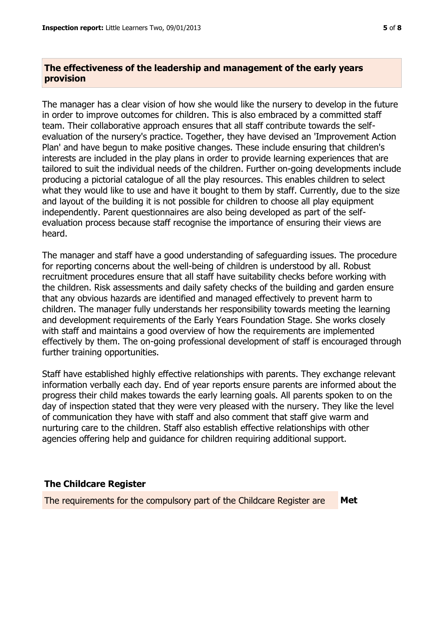# **The effectiveness of the leadership and management of the early years provision**

The manager has a clear vision of how she would like the nursery to develop in the future in order to improve outcomes for children. This is also embraced by a committed staff team. Their collaborative approach ensures that all staff contribute towards the selfevaluation of the nursery's practice. Together, they have devised an 'Improvement Action Plan' and have begun to make positive changes. These include ensuring that children's interests are included in the play plans in order to provide learning experiences that are tailored to suit the individual needs of the children. Further on-going developments include producing a pictorial catalogue of all the play resources. This enables children to select what they would like to use and have it bought to them by staff. Currently, due to the size and layout of the building it is not possible for children to choose all play equipment independently. Parent questionnaires are also being developed as part of the selfevaluation process because staff recognise the importance of ensuring their views are heard.

The manager and staff have a good understanding of safeguarding issues. The procedure for reporting concerns about the well-being of children is understood by all. Robust recruitment procedures ensure that all staff have suitability checks before working with the children. Risk assessments and daily safety checks of the building and garden ensure that any obvious hazards are identified and managed effectively to prevent harm to children. The manager fully understands her responsibility towards meeting the learning and development requirements of the Early Years Foundation Stage. She works closely with staff and maintains a good overview of how the requirements are implemented effectively by them. The on-going professional development of staff is encouraged through further training opportunities.

Staff have established highly effective relationships with parents. They exchange relevant information verbally each day. End of year reports ensure parents are informed about the progress their child makes towards the early learning goals. All parents spoken to on the day of inspection stated that they were very pleased with the nursery. They like the level of communication they have with staff and also comment that staff give warm and nurturing care to the children. Staff also establish effective relationships with other agencies offering help and guidance for children requiring additional support.

## **The Childcare Register**

The requirements for the compulsory part of the Childcare Register are **Met**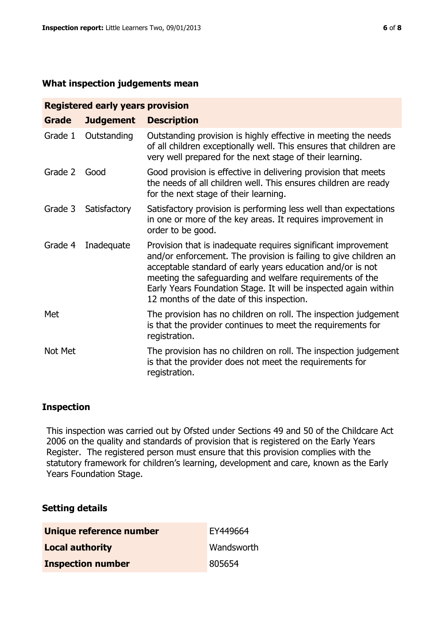#### **What inspection judgements mean**

| <b>Registered early years provision</b> |                  |                                                                                                                                                                                                                                                                                                                                                                             |  |  |
|-----------------------------------------|------------------|-----------------------------------------------------------------------------------------------------------------------------------------------------------------------------------------------------------------------------------------------------------------------------------------------------------------------------------------------------------------------------|--|--|
| <b>Grade</b>                            | <b>Judgement</b> | <b>Description</b>                                                                                                                                                                                                                                                                                                                                                          |  |  |
| Grade 1                                 | Outstanding      | Outstanding provision is highly effective in meeting the needs<br>of all children exceptionally well. This ensures that children are<br>very well prepared for the next stage of their learning.                                                                                                                                                                            |  |  |
| Grade 2                                 | Good             | Good provision is effective in delivering provision that meets<br>the needs of all children well. This ensures children are ready<br>for the next stage of their learning.                                                                                                                                                                                                  |  |  |
| Grade 3                                 | Satisfactory     | Satisfactory provision is performing less well than expectations<br>in one or more of the key areas. It requires improvement in<br>order to be good.                                                                                                                                                                                                                        |  |  |
| Grade 4                                 | Inadequate       | Provision that is inadequate requires significant improvement<br>and/or enforcement. The provision is failing to give children an<br>acceptable standard of early years education and/or is not<br>meeting the safeguarding and welfare requirements of the<br>Early Years Foundation Stage. It will be inspected again within<br>12 months of the date of this inspection. |  |  |
| Met                                     |                  | The provision has no children on roll. The inspection judgement<br>is that the provider continues to meet the requirements for<br>registration.                                                                                                                                                                                                                             |  |  |
| Not Met                                 |                  | The provision has no children on roll. The inspection judgement<br>is that the provider does not meet the requirements for<br>registration.                                                                                                                                                                                                                                 |  |  |

## **Inspection**

This inspection was carried out by Ofsted under Sections 49 and 50 of the Childcare Act 2006 on the quality and standards of provision that is registered on the Early Years Register. The registered person must ensure that this provision complies with the statutory framework for children's learning, development and care, known as the Early Years Foundation Stage.

## **Setting details**

| Unique reference number  | EY449664   |
|--------------------------|------------|
| <b>Local authority</b>   | Wandsworth |
| <b>Inspection number</b> | 805654     |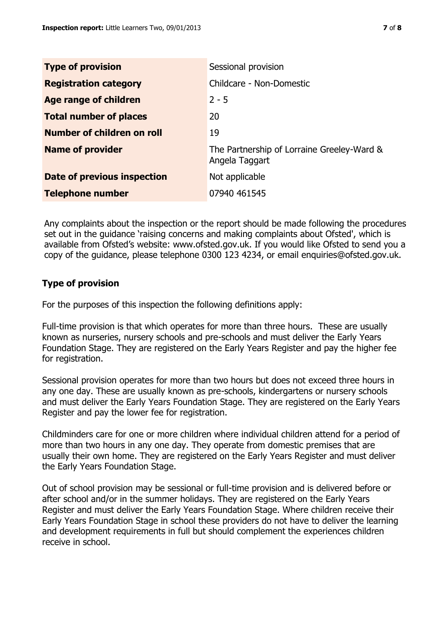| <b>Type of provision</b>      | Sessional provision                                          |
|-------------------------------|--------------------------------------------------------------|
| <b>Registration category</b>  | Childcare - Non-Domestic                                     |
| Age range of children         | $2 - 5$                                                      |
| <b>Total number of places</b> | 20                                                           |
| Number of children on roll    | 19                                                           |
| <b>Name of provider</b>       | The Partnership of Lorraine Greeley-Ward &<br>Angela Taggart |
| Date of previous inspection   | Not applicable                                               |
| <b>Telephone number</b>       | 07940 461545                                                 |

Any complaints about the inspection or the report should be made following the procedures set out in the guidance 'raising concerns and making complaints about Ofsted', which is available from Ofsted's website: www.ofsted.gov.uk. If you would like Ofsted to send you a copy of the guidance, please telephone 0300 123 4234, or email enquiries@ofsted.gov.uk.

# **Type of provision**

For the purposes of this inspection the following definitions apply:

Full-time provision is that which operates for more than three hours. These are usually known as nurseries, nursery schools and pre-schools and must deliver the Early Years Foundation Stage. They are registered on the Early Years Register and pay the higher fee for registration.

Sessional provision operates for more than two hours but does not exceed three hours in any one day. These are usually known as pre-schools, kindergartens or nursery schools and must deliver the Early Years Foundation Stage. They are registered on the Early Years Register and pay the lower fee for registration.

Childminders care for one or more children where individual children attend for a period of more than two hours in any one day. They operate from domestic premises that are usually their own home. They are registered on the Early Years Register and must deliver the Early Years Foundation Stage.

Out of school provision may be sessional or full-time provision and is delivered before or after school and/or in the summer holidays. They are registered on the Early Years Register and must deliver the Early Years Foundation Stage. Where children receive their Early Years Foundation Stage in school these providers do not have to deliver the learning and development requirements in full but should complement the experiences children receive in school.